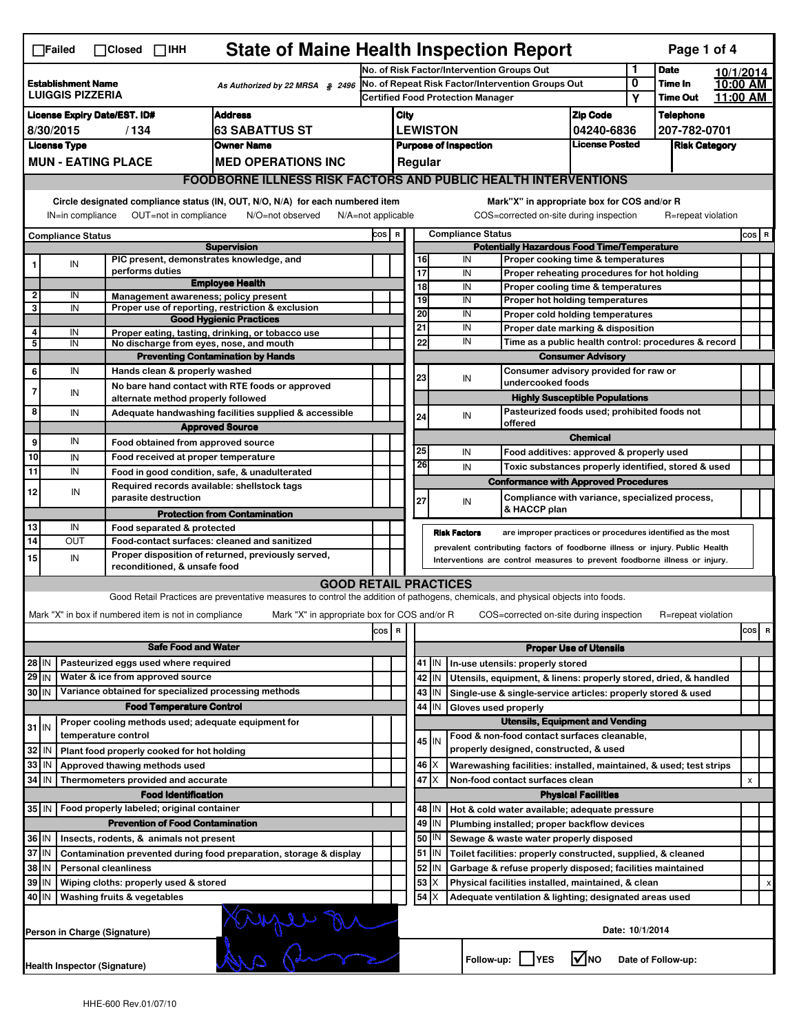|                                                                                                                                                                                                                                                                                       | <b>State of Maine Health Inspection Report</b><br>Page 1 of 4<br>$\Box$ Failed<br>$\Box$ Closed $\Box$ IHH |                                                       |                                                                                                                                   |                                                   |                                                       |                                          |                                                    |                                                                   |                                                                                                                                  |                               |                 |                    |  |                |   |
|---------------------------------------------------------------------------------------------------------------------------------------------------------------------------------------------------------------------------------------------------------------------------------------|------------------------------------------------------------------------------------------------------------|-------------------------------------------------------|-----------------------------------------------------------------------------------------------------------------------------------|---------------------------------------------------|-------------------------------------------------------|------------------------------------------|----------------------------------------------------|-------------------------------------------------------------------|----------------------------------------------------------------------------------------------------------------------------------|-------------------------------|-----------------|--------------------|--|----------------|---|
|                                                                                                                                                                                                                                                                                       |                                                                                                            |                                                       |                                                                                                                                   |                                                   | No. of Risk Factor/Intervention Groups Out            |                                          |                                                    |                                                                   |                                                                                                                                  | 1                             | <b>Date</b>     | 10/1/2014          |  |                |   |
| <b>Establishment Name</b><br>As Authorized by 22 MRSA § 2496<br><b>LUIGGIS PIZZERIA</b>                                                                                                                                                                                               |                                                                                                            |                                                       |                                                                                                                                   | No. of Repeat Risk Factor/Intervention Groups Out |                                                       |                                          |                                                    |                                                                   | 0                                                                                                                                | Time In                       | 10:00 AM        |                    |  |                |   |
|                                                                                                                                                                                                                                                                                       |                                                                                                            |                                                       |                                                                                                                                   |                                                   |                                                       | <b>Certified Food Protection Manager</b> |                                                    |                                                                   |                                                                                                                                  | Υ                             | <b>Time Out</b> | 11:00 AM           |  |                |   |
| <b>Address</b><br><b>License Expiry Date/EST. ID#</b>                                                                                                                                                                                                                                 |                                                                                                            |                                                       |                                                                                                                                   |                                                   | City                                                  |                                          |                                                    | <b>Zip Code</b>                                                   |                                                                                                                                  | <b>Telephone</b>              |                 |                    |  |                |   |
| <b>63 SABATTUS ST</b><br>8/30/2015<br>/134                                                                                                                                                                                                                                            |                                                                                                            |                                                       |                                                                                                                                   |                                                   |                                                       | <b>LEWISTON</b><br>04240-6836            |                                                    |                                                                   |                                                                                                                                  | 207-782-0701                  |                 |                    |  |                |   |
|                                                                                                                                                                                                                                                                                       | <b>License Type</b>                                                                                        |                                                       | <b>Owner Name</b>                                                                                                                 |                                                   | <b>License Posted</b><br><b>Purpose of Inspection</b> |                                          |                                                    |                                                                   |                                                                                                                                  | <b>Risk Category</b>          |                 |                    |  |                |   |
|                                                                                                                                                                                                                                                                                       | <b>MUN - EATING PLACE</b><br><b>MED OPERATIONS INC</b>                                                     |                                                       |                                                                                                                                   |                                                   |                                                       |                                          | Regular                                            |                                                                   |                                                                                                                                  |                               |                 |                    |  |                |   |
|                                                                                                                                                                                                                                                                                       |                                                                                                            |                                                       | <b>FOODBORNE ILLNESS RISK FACTORS AND PUBLIC HEALTH INTERVENTIONS</b>                                                             |                                                   |                                                       |                                          |                                                    |                                                                   |                                                                                                                                  |                               |                 |                    |  |                |   |
| Circle designated compliance status (IN, OUT, N/O, N/A) for each numbered item<br>Mark"X" in appropriate box for COS and/or R<br>OUT=not in compliance<br>COS=corrected on-site during inspection<br>IN=in compliance<br>N/O=not observed<br>N/A=not applicable<br>R=repeat violation |                                                                                                            |                                                       |                                                                                                                                   |                                                   |                                                       |                                          |                                                    |                                                                   |                                                                                                                                  |                               |                 |                    |  |                |   |
|                                                                                                                                                                                                                                                                                       | <b>Compliance Status</b>                                                                                   |                                                       |                                                                                                                                   | COS R                                             |                                                       | <b>Compliance Status</b>                 |                                                    |                                                                   |                                                                                                                                  |                               |                 |                    |  | $cos$ R        |   |
|                                                                                                                                                                                                                                                                                       |                                                                                                            |                                                       | <b>Supervision</b>                                                                                                                |                                                   |                                                       |                                          | <b>Potentially Hazardous Food Time/Temperature</b> |                                                                   |                                                                                                                                  |                               |                 |                    |  |                |   |
|                                                                                                                                                                                                                                                                                       | IN                                                                                                         | PIC present, demonstrates knowledge, and              |                                                                                                                                   |                                                   |                                                       |                                          | 16                                                 | IN                                                                | Proper cooking time & temperatures                                                                                               |                               |                 |                    |  |                |   |
|                                                                                                                                                                                                                                                                                       |                                                                                                            | performs duties                                       | <b>Employee Health</b>                                                                                                            |                                                   |                                                       |                                          | 17<br>$\overline{18}$                              | IN<br>IN                                                          | Proper reheating procedures for hot holding                                                                                      |                               |                 |                    |  |                |   |
| 2                                                                                                                                                                                                                                                                                     | IN                                                                                                         | Management awareness; policy present                  |                                                                                                                                   |                                                   |                                                       |                                          | 19                                                 | IN                                                                | Proper cooling time & temperatures<br>Proper hot holding temperatures                                                            |                               |                 |                    |  |                |   |
| 3                                                                                                                                                                                                                                                                                     | IN                                                                                                         |                                                       | Proper use of reporting, restriction & exclusion                                                                                  |                                                   |                                                       |                                          | 20                                                 | IN                                                                | Proper cold holding temperatures                                                                                                 |                               |                 |                    |  |                |   |
|                                                                                                                                                                                                                                                                                       |                                                                                                            |                                                       | <b>Good Hygienic Practices</b>                                                                                                    |                                                   |                                                       |                                          | 21                                                 | IN                                                                | Proper date marking & disposition                                                                                                |                               |                 |                    |  |                |   |
| 4<br>5                                                                                                                                                                                                                                                                                | IN<br>IN                                                                                                   | No discharge from eyes, nose, and mouth               | Proper eating, tasting, drinking, or tobacco use                                                                                  |                                                   |                                                       |                                          | 22                                                 | IN                                                                | Time as a public health control: procedures & record                                                                             |                               |                 |                    |  |                |   |
|                                                                                                                                                                                                                                                                                       |                                                                                                            |                                                       | <b>Preventing Contamination by Hands</b>                                                                                          |                                                   |                                                       |                                          |                                                    |                                                                   |                                                                                                                                  |                               |                 |                    |  |                |   |
| 6                                                                                                                                                                                                                                                                                     | IN                                                                                                         | Hands clean & properly washed                         |                                                                                                                                   |                                                   |                                                       |                                          |                                                    | <b>Consumer Advisory</b><br>Consumer advisory provided for raw or |                                                                                                                                  |                               |                 |                    |  |                |   |
|                                                                                                                                                                                                                                                                                       |                                                                                                            |                                                       | No bare hand contact with RTE foods or approved                                                                                   |                                                   |                                                       |                                          | 23                                                 | IN                                                                | undercooked foods                                                                                                                |                               |                 |                    |  |                |   |
| $\overline{7}$                                                                                                                                                                                                                                                                        | IN                                                                                                         | alternate method properly followed                    |                                                                                                                                   |                                                   |                                                       |                                          | <b>Highly Susceptible Populations</b>              |                                                                   |                                                                                                                                  |                               |                 |                    |  |                |   |
| 8                                                                                                                                                                                                                                                                                     | IN                                                                                                         |                                                       | Adequate handwashing facilities supplied & accessible                                                                             |                                                   |                                                       |                                          | 24                                                 | IN                                                                | Pasteurized foods used; prohibited foods not                                                                                     |                               |                 |                    |  |                |   |
|                                                                                                                                                                                                                                                                                       |                                                                                                            |                                                       | <b>Approved Source</b>                                                                                                            |                                                   |                                                       |                                          |                                                    |                                                                   | offered                                                                                                                          |                               |                 |                    |  |                |   |
| 9                                                                                                                                                                                                                                                                                     | IN                                                                                                         | Food obtained from approved source                    |                                                                                                                                   |                                                   |                                                       |                                          |                                                    |                                                                   |                                                                                                                                  | <b>Chemical</b>               |                 |                    |  |                |   |
| 10                                                                                                                                                                                                                                                                                    | IN                                                                                                         | Food received at proper temperature                   |                                                                                                                                   |                                                   |                                                       |                                          | 25<br>26                                           | IN                                                                | Food additives: approved & properly used                                                                                         |                               |                 |                    |  |                |   |
| 11                                                                                                                                                                                                                                                                                    | IN                                                                                                         |                                                       | Food in good condition, safe, & unadulterated                                                                                     |                                                   |                                                       |                                          |                                                    | IN                                                                | Toxic substances properly identified, stored & used                                                                              |                               |                 |                    |  |                |   |
| 12                                                                                                                                                                                                                                                                                    | IN                                                                                                         | Required records available: shellstock tags           |                                                                                                                                   |                                                   |                                                       |                                          |                                                    |                                                                   | <b>Conformance with Approved Procedures</b>                                                                                      |                               |                 |                    |  |                |   |
|                                                                                                                                                                                                                                                                                       |                                                                                                            | parasite destruction                                  |                                                                                                                                   |                                                   |                                                       |                                          | 27                                                 | IN                                                                | Compliance with variance, specialized process,<br>& HACCP plan                                                                   |                               |                 |                    |  |                |   |
|                                                                                                                                                                                                                                                                                       |                                                                                                            |                                                       | <b>Protection from Contamination</b>                                                                                              |                                                   |                                                       |                                          |                                                    |                                                                   |                                                                                                                                  |                               |                 |                    |  |                |   |
| 13<br>14                                                                                                                                                                                                                                                                              | IN<br>OUT                                                                                                  | Food separated & protected                            | Food-contact surfaces: cleaned and sanitized                                                                                      |                                                   |                                                       |                                          |                                                    | <b>Risk Factors</b>                                               | are improper practices or procedures identified as the most                                                                      |                               |                 |                    |  |                |   |
|                                                                                                                                                                                                                                                                                       |                                                                                                            |                                                       | Proper disposition of returned, previously served,                                                                                |                                                   |                                                       |                                          |                                                    |                                                                   | prevalent contributing factors of foodborne illness or injury. Public Health                                                     |                               |                 |                    |  |                |   |
| 15                                                                                                                                                                                                                                                                                    | IN                                                                                                         | reconditioned, & unsafe food                          |                                                                                                                                   |                                                   |                                                       |                                          |                                                    |                                                                   | Interventions are control measures to prevent foodborne illness or injury.                                                       |                               |                 |                    |  |                |   |
|                                                                                                                                                                                                                                                                                       |                                                                                                            |                                                       | <b>GOOD RETAIL PRACTICES</b>                                                                                                      |                                                   |                                                       |                                          |                                                    |                                                                   |                                                                                                                                  |                               |                 |                    |  |                |   |
|                                                                                                                                                                                                                                                                                       |                                                                                                            |                                                       | Good Retail Practices are preventative measures to control the addition of pathogens, chemicals, and physical objects into foods. |                                                   |                                                       |                                          |                                                    |                                                                   |                                                                                                                                  |                               |                 |                    |  |                |   |
|                                                                                                                                                                                                                                                                                       |                                                                                                            | Mark "X" in box if numbered item is not in compliance | Mark "X" in appropriate box for COS and/or R                                                                                      |                                                   |                                                       |                                          |                                                    |                                                                   | COS=corrected on-site during inspection                                                                                          |                               |                 | R=repeat violation |  |                |   |
|                                                                                                                                                                                                                                                                                       |                                                                                                            |                                                       |                                                                                                                                   | $\cos$                                            | R                                                     |                                          |                                                    |                                                                   |                                                                                                                                  |                               |                 |                    |  | cos            | R |
|                                                                                                                                                                                                                                                                                       |                                                                                                            | <b>Safe Food and Water</b>                            |                                                                                                                                   |                                                   |                                                       |                                          |                                                    |                                                                   |                                                                                                                                  |                               |                 |                    |  |                |   |
|                                                                                                                                                                                                                                                                                       |                                                                                                            | Pasteurized eggs used where required                  |                                                                                                                                   |                                                   |                                                       |                                          |                                                    |                                                                   |                                                                                                                                  | <b>Proper Use of Utensils</b> |                 |                    |  |                |   |
| $28$ IN<br>$29$ IN                                                                                                                                                                                                                                                                    |                                                                                                            | Water & ice from approved source                      |                                                                                                                                   |                                                   |                                                       |                                          | $41$ M<br>42   IN                                  |                                                                   | In-use utensils: properly stored                                                                                                 |                               |                 |                    |  |                |   |
| 30 IN                                                                                                                                                                                                                                                                                 |                                                                                                            | Variance obtained for specialized processing methods  |                                                                                                                                   |                                                   |                                                       |                                          | $43$ IN                                            |                                                                   | Utensils, equipment, & linens: properly stored, dried, & handled<br>Single-use & single-service articles: properly stored & used |                               |                 |                    |  |                |   |
|                                                                                                                                                                                                                                                                                       |                                                                                                            | <b>Food Temperature Control</b>                       |                                                                                                                                   |                                                   |                                                       |                                          | 44<br>ΙIΝ                                          |                                                                   | Gloves used properly                                                                                                             |                               |                 |                    |  |                |   |
|                                                                                                                                                                                                                                                                                       |                                                                                                            | Proper cooling methods used; adequate equipment for   |                                                                                                                                   |                                                   |                                                       |                                          |                                                    |                                                                   | <b>Utensils, Equipment and Vending</b>                                                                                           |                               |                 |                    |  |                |   |
| $31$ IN                                                                                                                                                                                                                                                                               |                                                                                                            | temperature control                                   |                                                                                                                                   |                                                   |                                                       |                                          |                                                    |                                                                   | Food & non-food contact surfaces cleanable,                                                                                      |                               |                 |                    |  |                |   |
| 32                                                                                                                                                                                                                                                                                    | IN                                                                                                         | Plant food properly cooked for hot holding            |                                                                                                                                   |                                                   |                                                       |                                          | 45 IN                                              |                                                                   | properly designed, constructed, & used                                                                                           |                               |                 |                    |  |                |   |
| 33                                                                                                                                                                                                                                                                                    | IN                                                                                                         | Approved thawing methods used                         |                                                                                                                                   |                                                   |                                                       |                                          | $46 \mid X$                                        |                                                                   | Warewashing facilities: installed, maintained, & used; test strips                                                               |                               |                 |                    |  |                |   |
| 34                                                                                                                                                                                                                                                                                    | IN                                                                                                         | Thermometers provided and accurate                    |                                                                                                                                   |                                                   |                                                       |                                          | 47 I X                                             |                                                                   | Non-food contact surfaces clean                                                                                                  |                               |                 |                    |  | $\pmb{\times}$ |   |
|                                                                                                                                                                                                                                                                                       |                                                                                                            | <b>Food Identification</b>                            |                                                                                                                                   |                                                   |                                                       |                                          |                                                    |                                                                   |                                                                                                                                  | <b>Physical Facilities</b>    |                 |                    |  |                |   |
| 35 IN                                                                                                                                                                                                                                                                                 |                                                                                                            | Food properly labeled; original container             |                                                                                                                                   |                                                   |                                                       |                                          | 48   IN                                            |                                                                   | Hot & cold water available; adequate pressure                                                                                    |                               |                 |                    |  |                |   |
|                                                                                                                                                                                                                                                                                       | <b>Prevention of Food Contamination</b>                                                                    |                                                       |                                                                                                                                   |                                                   |                                                       |                                          | $49$ IN                                            |                                                                   | Plumbing installed; proper backflow devices                                                                                      |                               |                 |                    |  |                |   |
|                                                                                                                                                                                                                                                                                       | 36 IN<br>Insects, rodents, & animals not present                                                           |                                                       |                                                                                                                                   |                                                   |                                                       |                                          | 50   IN                                            |                                                                   | Sewage & waste water properly disposed                                                                                           |                               |                 |                    |  |                |   |
| 37 IN<br>Contamination prevented during food preparation, storage & display                                                                                                                                                                                                           |                                                                                                            |                                                       |                                                                                                                                   |                                                   |                                                       |                                          | $51$ $\vert$ IN                                    |                                                                   | Toilet facilities: properly constructed, supplied, & cleaned                                                                     |                               |                 |                    |  |                |   |
| 38<br>IN<br><b>Personal cleanliness</b>                                                                                                                                                                                                                                               |                                                                                                            |                                                       |                                                                                                                                   |                                                   |                                                       |                                          | 52<br>IN                                           |                                                                   | Garbage & refuse properly disposed; facilities maintained                                                                        |                               |                 |                    |  |                |   |
| 39<br>Wiping cloths: properly used & stored<br>IN                                                                                                                                                                                                                                     |                                                                                                            |                                                       |                                                                                                                                   |                                                   |                                                       |                                          | 53<br>X                                            |                                                                   | Physical facilities installed, maintained, & clean                                                                               |                               |                 |                    |  |                | x |
| 40 IN<br>Washing fruits & vegetables<br>54   X                                                                                                                                                                                                                                        |                                                                                                            |                                                       |                                                                                                                                   |                                                   |                                                       |                                          |                                                    | Adequate ventilation & lighting; designated areas used            |                                                                                                                                  |                               |                 |                    |  |                |   |
|                                                                                                                                                                                                                                                                                       | monsieur<br>Date: 10/1/2014<br>Person in Charge (Signature)                                                |                                                       |                                                                                                                                   |                                                   |                                                       |                                          |                                                    |                                                                   |                                                                                                                                  |                               |                 |                    |  |                |   |
|                                                                                                                                                                                                                                                                                       | l√lno<br>Follow-up:  <br><b>YES</b><br>Date of Follow-up:<br>Health Inspector (Signature)                  |                                                       |                                                                                                                                   |                                                   |                                                       |                                          |                                                    |                                                                   |                                                                                                                                  |                               |                 |                    |  |                |   |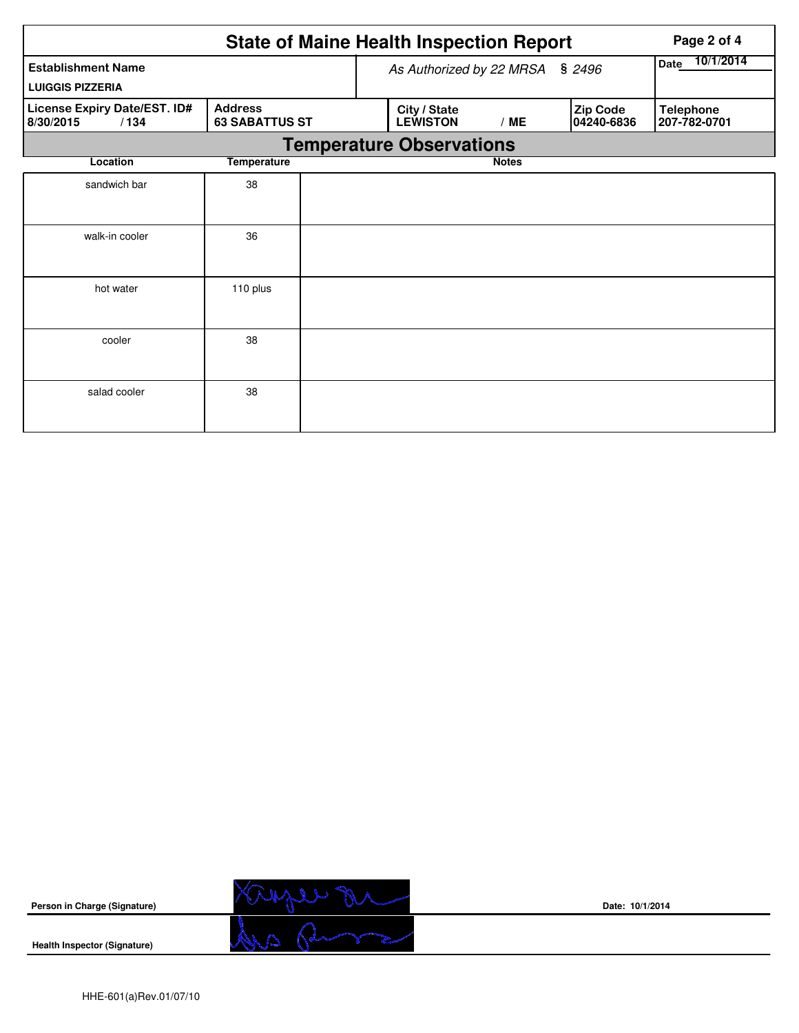|                                                   | <b>State of Maine Health Inspection Report</b><br>Page 2 of 4<br>10/1/2014<br>Date<br>As Authorized by 22 MRSA<br>\$2496<br><b>LUIGGIS PIZZERIA</b> |  |                                 |              |                        |                                  |  |  |  |  |
|---------------------------------------------------|-----------------------------------------------------------------------------------------------------------------------------------------------------|--|---------------------------------|--------------|------------------------|----------------------------------|--|--|--|--|
| <b>Establishment Name</b>                         |                                                                                                                                                     |  |                                 |              |                        |                                  |  |  |  |  |
|                                                   |                                                                                                                                                     |  |                                 |              |                        |                                  |  |  |  |  |
| License Expiry Date/EST. ID#<br>8/30/2015<br>/134 | <b>Address</b><br><b>63 SABATTUS ST</b>                                                                                                             |  | City / State<br><b>LEWISTON</b> | /ME          | Zip Code<br>04240-6836 | <b>Telephone</b><br>207-782-0701 |  |  |  |  |
|                                                   | <b>Temperature Observations</b>                                                                                                                     |  |                                 |              |                        |                                  |  |  |  |  |
| Location                                          | <b>Temperature</b>                                                                                                                                  |  |                                 | <b>Notes</b> |                        |                                  |  |  |  |  |
| sandwich bar                                      | 38                                                                                                                                                  |  |                                 |              |                        |                                  |  |  |  |  |
| walk-in cooler                                    | 36                                                                                                                                                  |  |                                 |              |                        |                                  |  |  |  |  |
| hot water                                         | 110 plus                                                                                                                                            |  |                                 |              |                        |                                  |  |  |  |  |
| cooler                                            | 38                                                                                                                                                  |  |                                 |              |                        |                                  |  |  |  |  |
| salad cooler                                      | 38                                                                                                                                                  |  |                                 |              |                        |                                  |  |  |  |  |



**Date: 10/1/2014**

**Health Inspector (Signature)**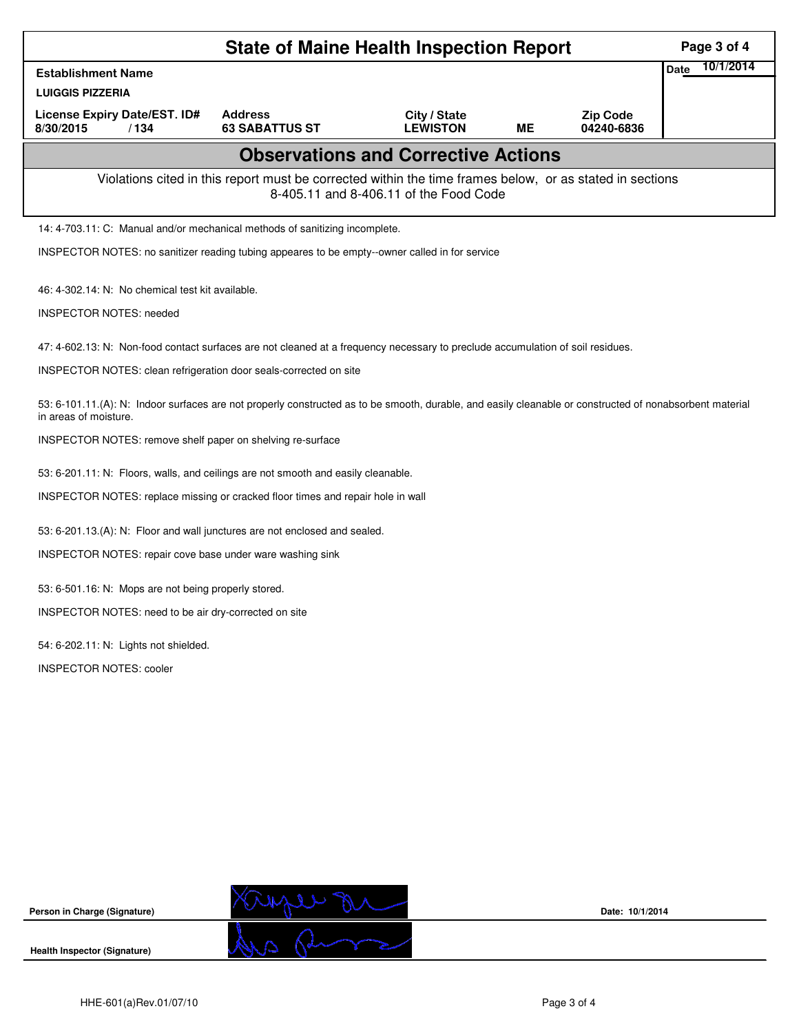| <b>State of Maine Health Inspection Report</b>                                                                                                                                    |                                                  |                                            |           |                               |             |           |  |  |  |  |
|-----------------------------------------------------------------------------------------------------------------------------------------------------------------------------------|--------------------------------------------------|--------------------------------------------|-----------|-------------------------------|-------------|-----------|--|--|--|--|
| <b>Establishment Name</b>                                                                                                                                                         |                                                  |                                            |           |                               | <b>Date</b> | 10/1/2014 |  |  |  |  |
| <b>LUIGGIS PIZZERIA</b>                                                                                                                                                           |                                                  |                                            |           |                               |             |           |  |  |  |  |
| License Expiry Date/EST. ID#<br>8/30/2015<br>/134                                                                                                                                 | <b>Address</b><br><b>63 SABATTUS ST</b>          | City / State<br><b>LEWISTON</b>            | <b>ME</b> | <b>Zip Code</b><br>04240-6836 |             |           |  |  |  |  |
|                                                                                                                                                                                   |                                                  | <b>Observations and Corrective Actions</b> |           |                               |             |           |  |  |  |  |
| Violations cited in this report must be corrected within the time frames below, or as stated in sections<br>8-405.11 and 8-406.11 of the Food Code                                |                                                  |                                            |           |                               |             |           |  |  |  |  |
| 14: 4-703.11: C: Manual and/or mechanical methods of sanitizing incomplete.                                                                                                       |                                                  |                                            |           |                               |             |           |  |  |  |  |
| INSPECTOR NOTES: no sanitizer reading tubing appeares to be empty--owner called in for service                                                                                    |                                                  |                                            |           |                               |             |           |  |  |  |  |
|                                                                                                                                                                                   | 46: 4-302.14: N: No chemical test kit available. |                                            |           |                               |             |           |  |  |  |  |
| <b>INSPECTOR NOTES: needed</b>                                                                                                                                                    |                                                  |                                            |           |                               |             |           |  |  |  |  |
| 47: 4-602.13: N: Non-food contact surfaces are not cleaned at a frequency necessary to preclude accumulation of soil residues.                                                    |                                                  |                                            |           |                               |             |           |  |  |  |  |
| INSPECTOR NOTES: clean refrigeration door seals-corrected on site                                                                                                                 |                                                  |                                            |           |                               |             |           |  |  |  |  |
| 53: 6-101.11.(A): N: Indoor surfaces are not properly constructed as to be smooth, durable, and easily cleanable or constructed of nonabsorbent material<br>in areas of moisture. |                                                  |                                            |           |                               |             |           |  |  |  |  |
| INSPECTOR NOTES: remove shelf paper on shelving re-surface                                                                                                                        |                                                  |                                            |           |                               |             |           |  |  |  |  |
| 53: 6-201.11: N: Floors, walls, and ceilings are not smooth and easily cleanable.                                                                                                 |                                                  |                                            |           |                               |             |           |  |  |  |  |
| INSPECTOR NOTES: replace missing or cracked floor times and repair hole in wall                                                                                                   |                                                  |                                            |           |                               |             |           |  |  |  |  |
| 53: 6-201.13.(A): N: Floor and wall junctures are not enclosed and sealed.                                                                                                        |                                                  |                                            |           |                               |             |           |  |  |  |  |
| INSPECTOR NOTES: repair cove base under ware washing sink                                                                                                                         |                                                  |                                            |           |                               |             |           |  |  |  |  |
| 53: 6-501.16: N: Mops are not being properly stored.                                                                                                                              |                                                  |                                            |           |                               |             |           |  |  |  |  |
| INSPECTOR NOTES: need to be air dry-corrected on site                                                                                                                             |                                                  |                                            |           |                               |             |           |  |  |  |  |
| 54: 6-202.11: N: Lights not shielded.                                                                                                                                             |                                                  |                                            |           |                               |             |           |  |  |  |  |
| <b>INSPECTOR NOTES: cooler</b>                                                                                                                                                    |                                                  |                                            |           |                               |             |           |  |  |  |  |
|                                                                                                                                                                                   |                                                  |                                            |           |                               |             |           |  |  |  |  |
|                                                                                                                                                                                   |                                                  |                                            |           |                               |             |           |  |  |  |  |
|                                                                                                                                                                                   |                                                  |                                            |           |                               |             |           |  |  |  |  |
|                                                                                                                                                                                   |                                                  |                                            |           |                               |             |           |  |  |  |  |
|                                                                                                                                                                                   |                                                  |                                            |           |                               |             |           |  |  |  |  |
|                                                                                                                                                                                   |                                                  |                                            |           |                               |             |           |  |  |  |  |



**Date: 10/1/2014**